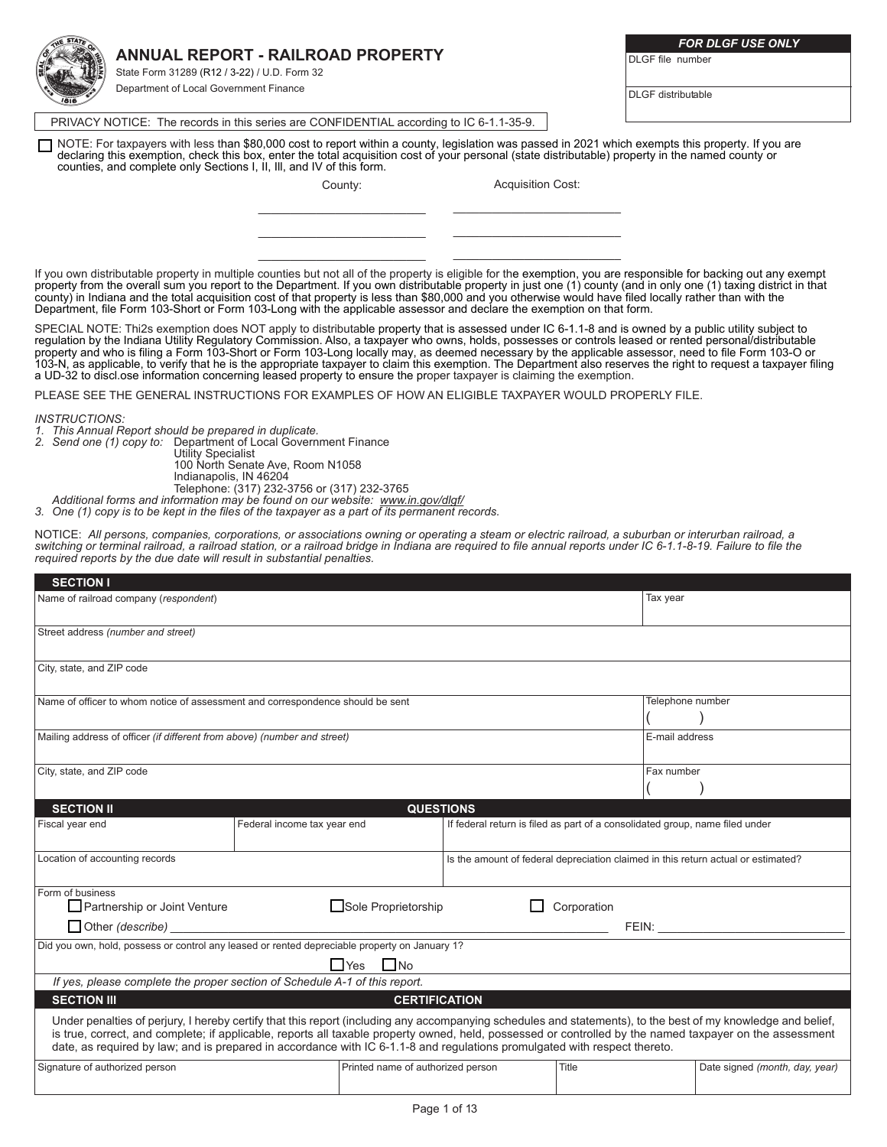### **ANNUAL REPORT - RAILROAD PROPERTY**

State Form 31289 (R12 / 3-22) / U.D. Form 32 Department of Local Government Finance

*FOR DLGF USE ONLY*

DI GF file number

DLGF distributable

PRIVACY NOTICE: The records in this series are CONFIDENTIAL according to IC 6-1.1-35-9.

NOTE: For taxpayers with less than \$80,000 cost to report within a county, legislation was passed in 2021 which exempts this property. If you are declaring this exemption, check this box, enter the total acquisition cost of your personal (state distributable) property in the named county or counties, and complete only Sections I, II, Ill, and IV of this form.

> County: \_\_\_\_\_\_\_\_\_\_\_\_\_\_\_\_\_\_\_\_\_\_\_\_\_\_

> $\mathcal{L}_\text{max}$ \_\_\_\_\_\_\_\_\_\_\_\_\_\_\_\_\_\_\_\_\_\_\_\_\_\_

Acquisition Cost: \_\_\_\_\_\_\_\_\_\_\_\_\_\_\_\_\_\_\_\_\_\_\_\_\_\_

 $\mathcal{L}_\text{max}$ \_\_\_\_\_\_\_\_\_\_\_\_\_\_\_\_\_\_\_\_\_\_\_\_\_\_

If you own distributable property in multiple counties but not all of the property is eligible for the exemption, you are responsible for backing out any exempt property from the overall sum you report to the Department. If you own distributable property in just one (1) county (and in only one (1) taxing district in that county) in Indiana and the total acquisition cost of that property is less than \$80,000 and you otherwise would have filed locally rather than with the Department, file Form 103-Short or Form 103-Long with the applicable assessor and declare the exemption on that form.

SPECIAL NOTE: Thi2s exemption does NOT apply to distributable property that is assessed under IC 6-1.1-8 and is owned by a public utility subject to regulation by the Indiana Utility Regulatory Commission. Also, a taxpayer who owns, holds, possesses or controls leased or rented personal/distributable property and who is filing a Form 103-Short or Form 103-Long locally may, as deemed necessary by the applicable assessor, need to file Form 103-O or 103-N, as applicable, to verify that he is the appropriate taxpayer to claim this exemption. The Department also reserves the right to request a taxpayer filing a UD-32 to discl.ose information concerning leased property to ensure the proper taxpayer is claiming the exemption.

PLEASE SEE THE GENERAL INSTRUCTIONS FOR EXAMPLES OF HOW AN ELIGIBLE TAXPAYER WOULD PROPERLY FILE.

*INSTRUCTIONS:*

- *1. This Annual Report should be prepared in duplicate.*
- *2. Send one (1) copy to:* Department of Local Government Finance

Utility Specialist

100 North Senate Ave, Room N1058 Indianapolis, IN 46204

Telephone: (317) 232-3756 or (317) 232-3765

*Additional forms and information may be found on our website: www.in.gov/dlgf/*

*3. One (1) copy is to be kept in the files of the taxpayer as a part of its permanent records.*

NOTICE: *All persons, companies, corporations, or associations owning or operating a steam or electric railroad, a suburban or interurban railroad, a switching or terminal railroad, a railroad station, or a railroad bridge in Indiana are required to file annual reports under IC 6-1.1-8-19. Failure to file the required reports by the due date will result in substantial penalties.*

| <b>SECTION I</b>                                                               |                                                                                                                                                                                                                                                                                                                          |                                                                                   |             |                  |                                |
|--------------------------------------------------------------------------------|--------------------------------------------------------------------------------------------------------------------------------------------------------------------------------------------------------------------------------------------------------------------------------------------------------------------------|-----------------------------------------------------------------------------------|-------------|------------------|--------------------------------|
| Name of railroad company (respondent)                                          |                                                                                                                                                                                                                                                                                                                          |                                                                                   |             | Tax year         |                                |
|                                                                                |                                                                                                                                                                                                                                                                                                                          |                                                                                   |             |                  |                                |
| Street address (number and street)                                             |                                                                                                                                                                                                                                                                                                                          |                                                                                   |             |                  |                                |
|                                                                                |                                                                                                                                                                                                                                                                                                                          |                                                                                   |             |                  |                                |
| City, state, and ZIP code                                                      |                                                                                                                                                                                                                                                                                                                          |                                                                                   |             |                  |                                |
| Name of officer to whom notice of assessment and correspondence should be sent |                                                                                                                                                                                                                                                                                                                          |                                                                                   |             | Telephone number |                                |
|                                                                                |                                                                                                                                                                                                                                                                                                                          |                                                                                   |             |                  |                                |
| Mailing address of officer (if different from above) (number and street)       |                                                                                                                                                                                                                                                                                                                          |                                                                                   |             |                  | E-mail address                 |
|                                                                                |                                                                                                                                                                                                                                                                                                                          |                                                                                   |             |                  |                                |
| City, state, and ZIP code                                                      |                                                                                                                                                                                                                                                                                                                          |                                                                                   |             | Fax number       |                                |
|                                                                                |                                                                                                                                                                                                                                                                                                                          |                                                                                   |             |                  |                                |
| <b>SECTION II</b>                                                              | <b>QUESTIONS</b>                                                                                                                                                                                                                                                                                                         |                                                                                   |             |                  |                                |
| Fiscal year end                                                                | Federal income tax year end                                                                                                                                                                                                                                                                                              | If federal return is filed as part of a consolidated group, name filed under      |             |                  |                                |
| Location of accounting records                                                 |                                                                                                                                                                                                                                                                                                                          | Is the amount of federal depreciation claimed in this return actual or estimated? |             |                  |                                |
|                                                                                |                                                                                                                                                                                                                                                                                                                          |                                                                                   |             |                  |                                |
| Form of business<br>Partnership or Joint Venture                               | Sole Proprietorship                                                                                                                                                                                                                                                                                                      |                                                                                   | Corporation |                  |                                |
| Other (describe)                                                               |                                                                                                                                                                                                                                                                                                                          |                                                                                   |             | FEN:             |                                |
|                                                                                | Did you own, hold, possess or control any leased or rented depreciable property on January 1?                                                                                                                                                                                                                            |                                                                                   |             |                  |                                |
|                                                                                | No<br>∐ Yes                                                                                                                                                                                                                                                                                                              |                                                                                   |             |                  |                                |
|                                                                                | If yes, please complete the proper section of Schedule A-1 of this report.                                                                                                                                                                                                                                               |                                                                                   |             |                  |                                |
| <b>SECTION III</b>                                                             | <b>CERTIFICATION</b>                                                                                                                                                                                                                                                                                                     |                                                                                   |             |                  |                                |
|                                                                                | Under penalties of perjury, I hereby certify that this report (including any accompanying schedules and statements), to the best of my knowledge and belief,<br>is true, correct, and complete; if applicable, reports all taxable property owned, held, possessed or controlled by the named taxpayer on the assessment |                                                                                   |             |                  |                                |
|                                                                                | date, as required by law; and is prepared in accordance with IC 6-1.1-8 and regulations promulgated with respect thereto.                                                                                                                                                                                                |                                                                                   |             |                  |                                |
| Signature of authorized person                                                 | Printed name of authorized person                                                                                                                                                                                                                                                                                        |                                                                                   | Title       |                  | Date signed (month, day, year) |
|                                                                                |                                                                                                                                                                                                                                                                                                                          |                                                                                   |             |                  |                                |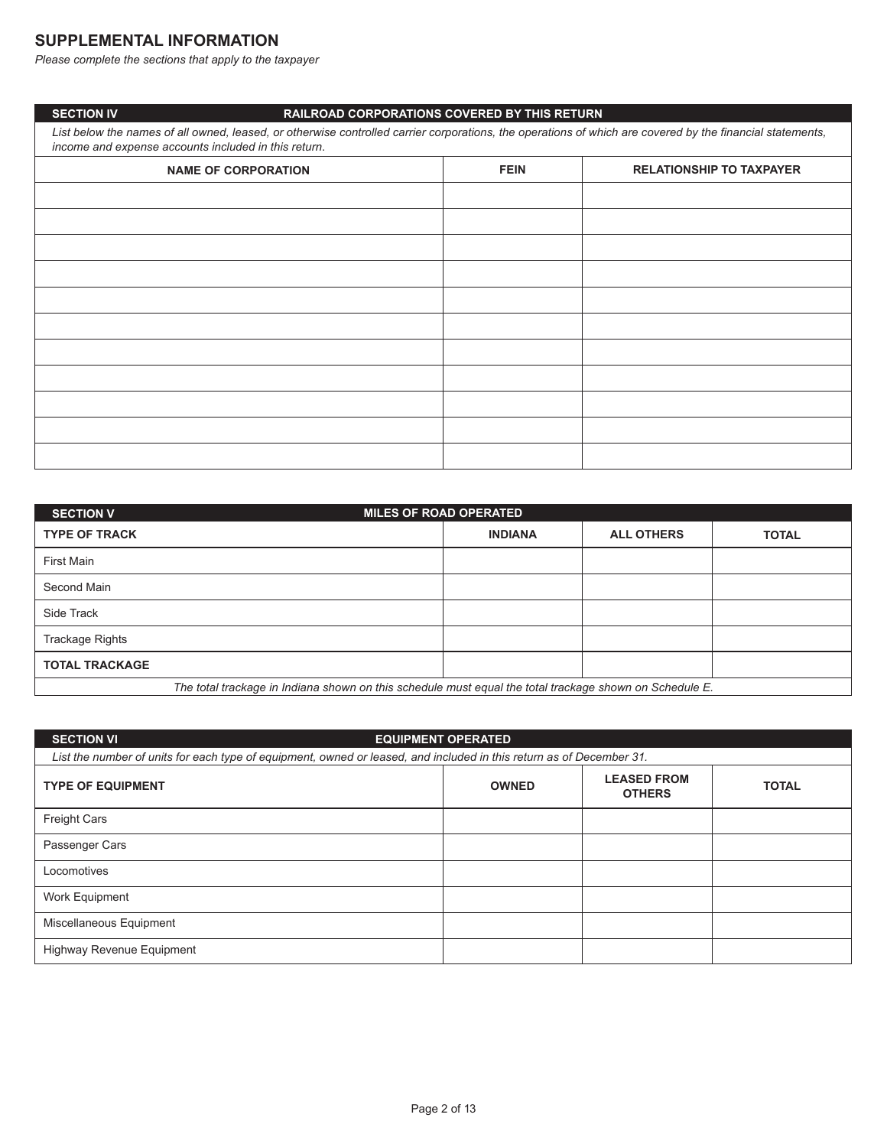# **SUPPLEMENTAL INFORMATION**

**SECTION IV** 

*Please complete the sections that apply to the taxpayer*

#### **RAILROAD CORPORATIONS COVERED BY THIS RETURN**

List below the names of all owned, leased, or otherwise controlled carrier corporations, the operations of which are covered by the financial statements, *income and expense accounts included in this return*.

| <b>NAME OF CORPORATION</b> | <b>FEIN</b> | <b>RELATIONSHIP TO TAXPAYER</b> |
|----------------------------|-------------|---------------------------------|
|                            |             |                                 |
|                            |             |                                 |
|                            |             |                                 |
|                            |             |                                 |
|                            |             |                                 |
|                            |             |                                 |
|                            |             |                                 |
|                            |             |                                 |
|                            |             |                                 |
|                            |             |                                 |
|                            |             |                                 |

| <b>SECTION V</b>      | <b>MILES OF ROAD OPERATED</b>                                                                           |                   |              |  |  |  |
|-----------------------|---------------------------------------------------------------------------------------------------------|-------------------|--------------|--|--|--|
| <b>TYPE OF TRACK</b>  | <b>INDIANA</b>                                                                                          | <b>ALL OTHERS</b> | <b>TOTAL</b> |  |  |  |
| First Main            |                                                                                                         |                   |              |  |  |  |
| Second Main           |                                                                                                         |                   |              |  |  |  |
| Side Track            |                                                                                                         |                   |              |  |  |  |
| Trackage Rights       |                                                                                                         |                   |              |  |  |  |
| <b>TOTAL TRACKAGE</b> |                                                                                                         |                   |              |  |  |  |
|                       | The total trackage in Indiana shown on this schedule must equal the total trackage shown on Schedule E. |                   |              |  |  |  |

| <b>SECTION VI</b>                                                                                                    | <b>EQUIPMENT OPERATED</b> |                                     |              |  |  |  |
|----------------------------------------------------------------------------------------------------------------------|---------------------------|-------------------------------------|--------------|--|--|--|
| List the number of units for each type of equipment, owned or leased, and included in this return as of December 31. |                           |                                     |              |  |  |  |
| <b>TYPE OF EQUIPMENT</b>                                                                                             | <b>OWNED</b>              | <b>LEASED FROM</b><br><b>OTHERS</b> | <b>TOTAL</b> |  |  |  |
| <b>Freight Cars</b>                                                                                                  |                           |                                     |              |  |  |  |
| Passenger Cars                                                                                                       |                           |                                     |              |  |  |  |
| Locomotives                                                                                                          |                           |                                     |              |  |  |  |
| Work Equipment                                                                                                       |                           |                                     |              |  |  |  |
| Miscellaneous Equipment                                                                                              |                           |                                     |              |  |  |  |
| Highway Revenue Equipment                                                                                            |                           |                                     |              |  |  |  |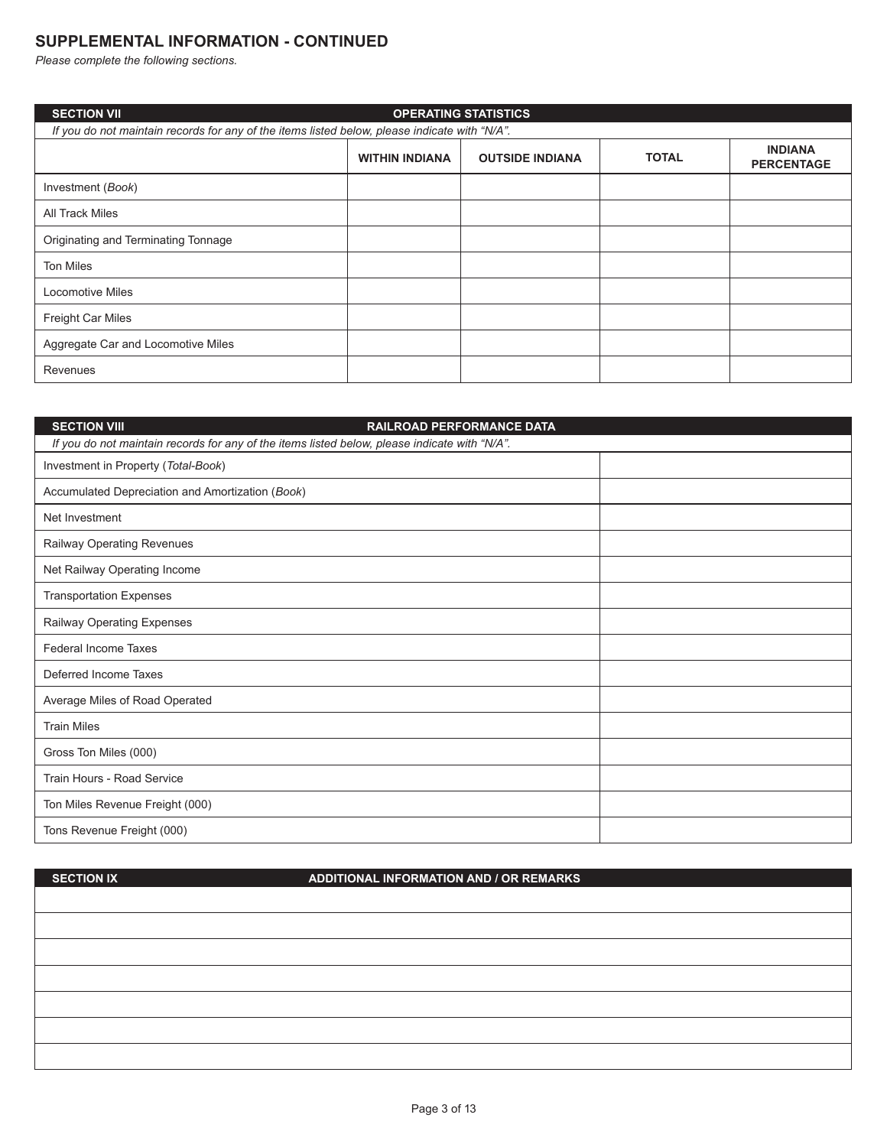# **SUPPLEMENTAL INFORMATION - CONTINUED**

*Please complete the following sections.*

| <b>SECTION VII</b>                                                                            |                                                                                                        | <b>OPERATING STATISTICS</b> |  |  |  |  |  |
|-----------------------------------------------------------------------------------------------|--------------------------------------------------------------------------------------------------------|-----------------------------|--|--|--|--|--|
| If you do not maintain records for any of the items listed below, please indicate with "N/A". |                                                                                                        |                             |  |  |  |  |  |
|                                                                                               | <b>INDIANA</b><br><b>TOTAL</b><br><b>OUTSIDE INDIANA</b><br><b>WITHIN INDIANA</b><br><b>PERCENTAGE</b> |                             |  |  |  |  |  |
| Investment (Book)                                                                             |                                                                                                        |                             |  |  |  |  |  |
| All Track Miles                                                                               |                                                                                                        |                             |  |  |  |  |  |
| Originating and Terminating Tonnage                                                           |                                                                                                        |                             |  |  |  |  |  |
| <b>Ton Miles</b>                                                                              |                                                                                                        |                             |  |  |  |  |  |
| <b>Locomotive Miles</b>                                                                       |                                                                                                        |                             |  |  |  |  |  |
| Freight Car Miles                                                                             |                                                                                                        |                             |  |  |  |  |  |
| Aggregate Car and Locomotive Miles                                                            |                                                                                                        |                             |  |  |  |  |  |
| Revenues                                                                                      |                                                                                                        |                             |  |  |  |  |  |

| <b>SECTION VIII</b>                                                                           | RAILROAD PERFORMANCE DATA |  |
|-----------------------------------------------------------------------------------------------|---------------------------|--|
| If you do not maintain records for any of the items listed below, please indicate with "N/A". |                           |  |
| Investment in Property (Total-Book)                                                           |                           |  |
| Accumulated Depreciation and Amortization (Book)                                              |                           |  |
| Net Investment                                                                                |                           |  |
| Railway Operating Revenues                                                                    |                           |  |
| Net Railway Operating Income                                                                  |                           |  |
| <b>Transportation Expenses</b>                                                                |                           |  |
| Railway Operating Expenses                                                                    |                           |  |
| <b>Federal Income Taxes</b>                                                                   |                           |  |
| Deferred Income Taxes                                                                         |                           |  |
| Average Miles of Road Operated                                                                |                           |  |
| <b>Train Miles</b>                                                                            |                           |  |
| Gross Ton Miles (000)                                                                         |                           |  |
| Train Hours - Road Service                                                                    |                           |  |
| Ton Miles Revenue Freight (000)                                                               |                           |  |
| Tons Revenue Freight (000)                                                                    |                           |  |

**SECTION IX**

# **ADDITIONAL INFORMATION AND / OR REMARKS**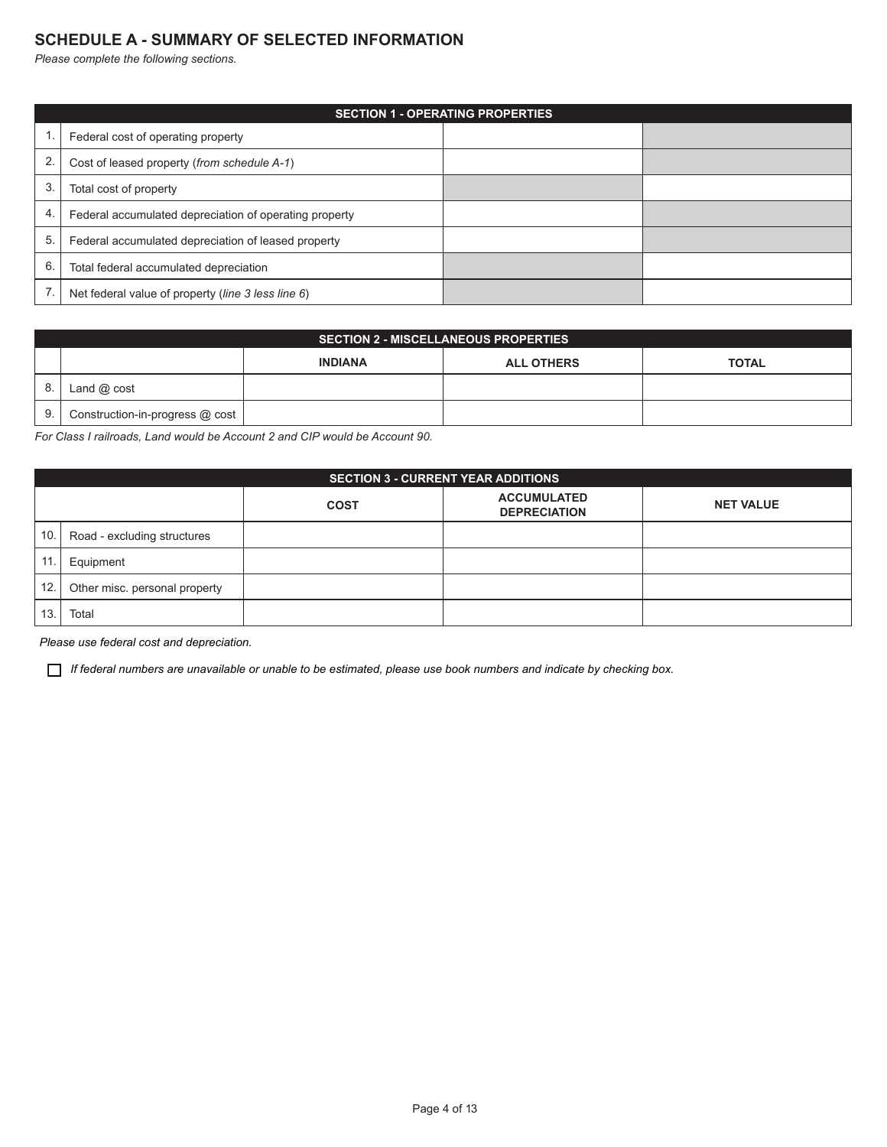### **SCHEDULE A - SUMMARY OF SELECTED INFORMATION**

*Please complete the following sections.*

|    | <b>SECTION 1 - OPERATING PROPERTIES</b>                |  |  |  |  |  |
|----|--------------------------------------------------------|--|--|--|--|--|
|    | Federal cost of operating property                     |  |  |  |  |  |
| 2. | Cost of leased property (from schedule A-1)            |  |  |  |  |  |
| 3. | Total cost of property                                 |  |  |  |  |  |
| 4. | Federal accumulated depreciation of operating property |  |  |  |  |  |
| 5. | Federal accumulated depreciation of leased property    |  |  |  |  |  |
| 6. | Total federal accumulated depreciation                 |  |  |  |  |  |
|    | Net federal value of property (line 3 less line 6)     |  |  |  |  |  |

|    | <b>SECTION 2 - MISCELLANEOUS PROPERTIES</b> |                |                   |              |  |  |  |
|----|---------------------------------------------|----------------|-------------------|--------------|--|--|--|
|    |                                             | <b>INDIANA</b> | <b>ALL OTHERS</b> | <b>TOTAL</b> |  |  |  |
| 8. | Land $@$ cost                               |                |                   |              |  |  |  |
| 9. | Construction-in-progress @ cost             |                |                   |              |  |  |  |

*For Class I railroads, Land would be Account 2 and CIP would be Account 90.*

|                                                                              | <b>SECTION 3 - CURRENT YEAR ADDITIONS</b> |  |  |  |  |  |  |
|------------------------------------------------------------------------------|-------------------------------------------|--|--|--|--|--|--|
| <b>ACCUMULATED</b><br><b>NET VALUE</b><br><b>COST</b><br><b>DEPRECIATION</b> |                                           |  |  |  |  |  |  |
| 10.                                                                          | Road - excluding structures               |  |  |  |  |  |  |
| 11.                                                                          | Equipment                                 |  |  |  |  |  |  |
| 12.                                                                          | Other misc. personal property             |  |  |  |  |  |  |
| 13.                                                                          | Total                                     |  |  |  |  |  |  |

*Please use federal cost and depreciation.*

*If federal numbers are unavailable or unable to be estimated, please use book numbers and indicate by checking box.*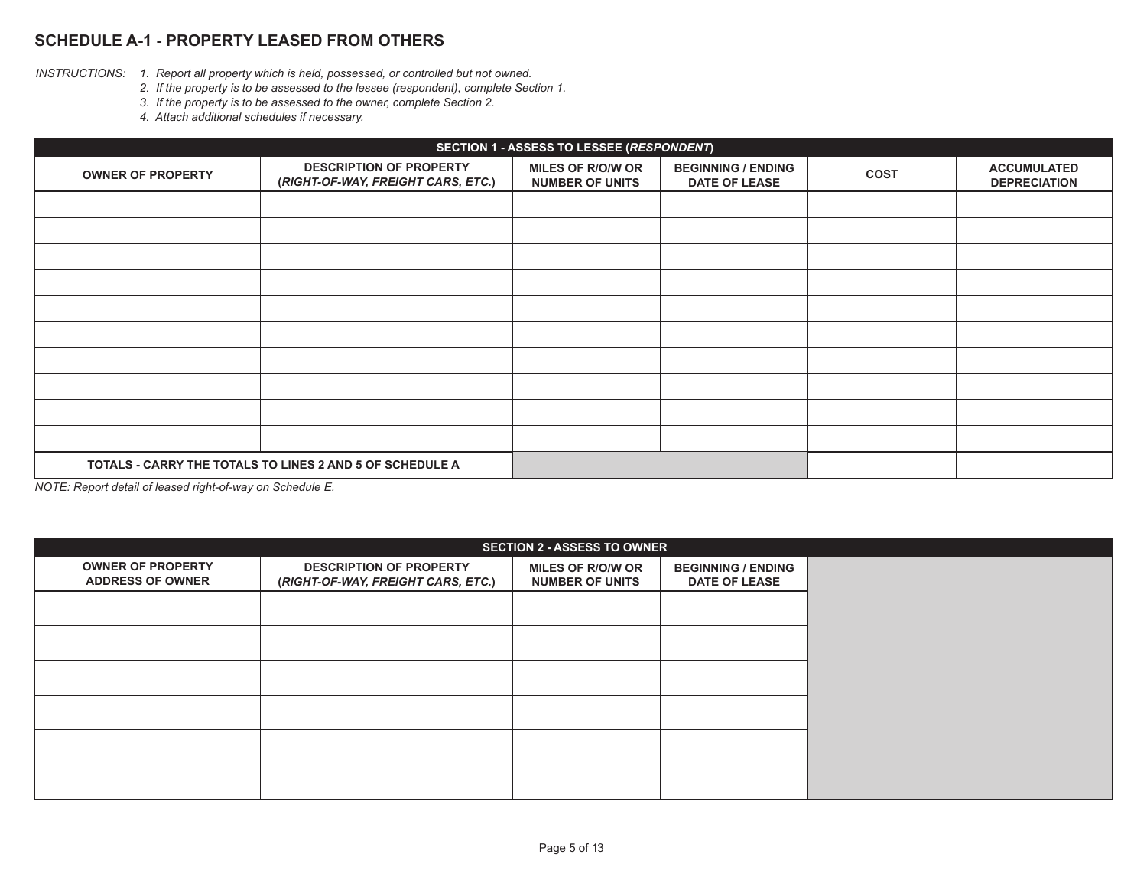# **SCHEDULE A-1 - PROPERTY LEASED FROM OTHERS**

- *INSTRUCTIONS: 1. Report all property which is held, possessed, or controlled but not owned.*
	- *2. If the property is to be assessed to the lessee (respondent), complete Section 1.*
	- *3. If the property is to be assessed to the owner, complete Section 2.*
	- *4. Attach additional schedules if necessary.*

|                                                          | SECTION 1 - ASSESS TO LESSEE (RESPONDENT)                            |                                                    |                                                   |             |                                           |  |  |
|----------------------------------------------------------|----------------------------------------------------------------------|----------------------------------------------------|---------------------------------------------------|-------------|-------------------------------------------|--|--|
| <b>OWNER OF PROPERTY</b>                                 | <b>DESCRIPTION OF PROPERTY</b><br>(RIGHT-OF-WAY, FREIGHT CARS, ETC.) | <b>MILES OF R/O/W OR</b><br><b>NUMBER OF UNITS</b> | <b>BEGINNING / ENDING</b><br><b>DATE OF LEASE</b> | <b>COST</b> | <b>ACCUMULATED</b><br><b>DEPRECIATION</b> |  |  |
|                                                          |                                                                      |                                                    |                                                   |             |                                           |  |  |
|                                                          |                                                                      |                                                    |                                                   |             |                                           |  |  |
|                                                          |                                                                      |                                                    |                                                   |             |                                           |  |  |
|                                                          |                                                                      |                                                    |                                                   |             |                                           |  |  |
|                                                          |                                                                      |                                                    |                                                   |             |                                           |  |  |
|                                                          |                                                                      |                                                    |                                                   |             |                                           |  |  |
|                                                          |                                                                      |                                                    |                                                   |             |                                           |  |  |
|                                                          |                                                                      |                                                    |                                                   |             |                                           |  |  |
|                                                          |                                                                      |                                                    |                                                   |             |                                           |  |  |
|                                                          |                                                                      |                                                    |                                                   |             |                                           |  |  |
| TOTALS - CARRY THE TOTALS TO LINES 2 AND 5 OF SCHEDULE A |                                                                      |                                                    |                                                   |             |                                           |  |  |

*NOTE: Report detail of leased right-of-way on Schedule E.*

| <b>SECTION 2 - ASSESS TO OWNER</b>                  |                                                                      |                                                    |                                                   |  |  |
|-----------------------------------------------------|----------------------------------------------------------------------|----------------------------------------------------|---------------------------------------------------|--|--|
| <b>OWNER OF PROPERTY</b><br><b>ADDRESS OF OWNER</b> | <b>DESCRIPTION OF PROPERTY</b><br>(RIGHT-OF-WAY, FREIGHT CARS, ETC.) | <b>MILES OF R/O/W OR</b><br><b>NUMBER OF UNITS</b> | <b>BEGINNING / ENDING</b><br><b>DATE OF LEASE</b> |  |  |
|                                                     |                                                                      |                                                    |                                                   |  |  |
|                                                     |                                                                      |                                                    |                                                   |  |  |
|                                                     |                                                                      |                                                    |                                                   |  |  |
|                                                     |                                                                      |                                                    |                                                   |  |  |
|                                                     |                                                                      |                                                    |                                                   |  |  |
|                                                     |                                                                      |                                                    |                                                   |  |  |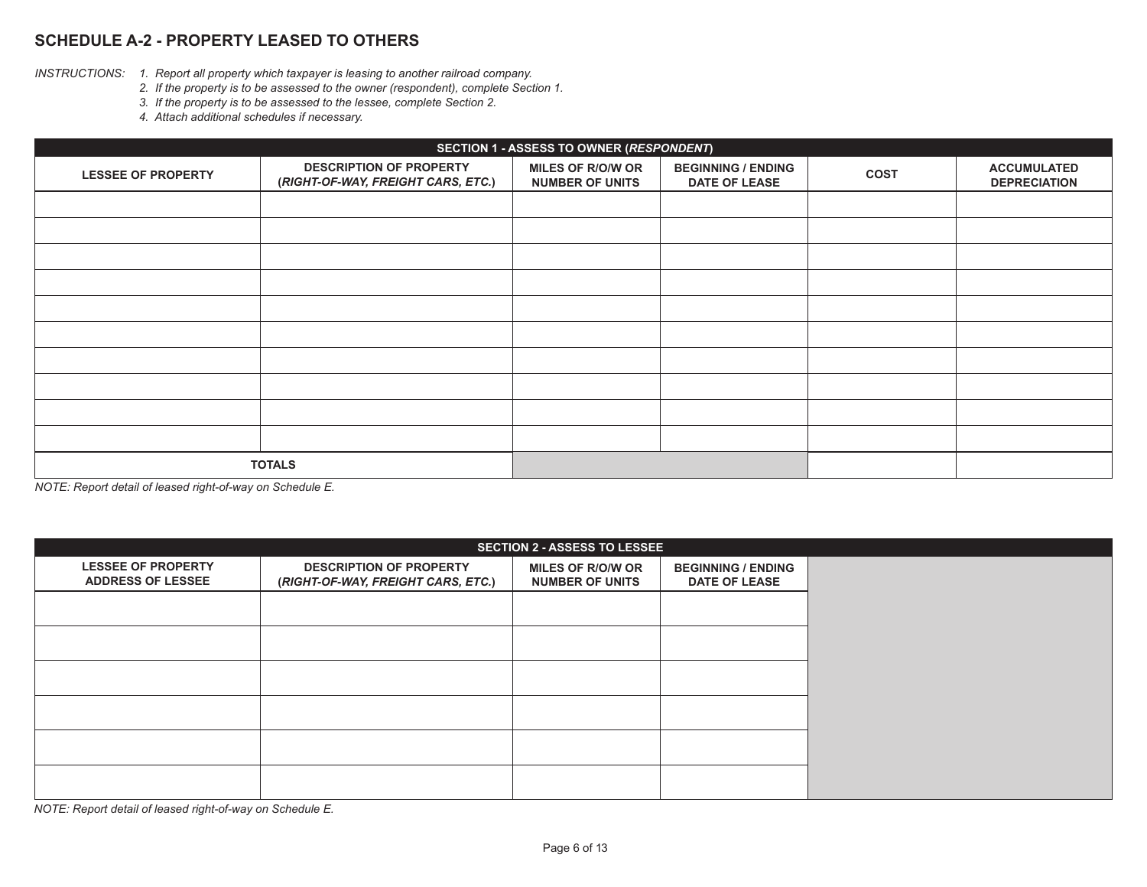# **SCHEDULE A-2 - PROPERTY LEASED TO OTHERS**

- *INSTRUCTIONS: 1. Report all property which taxpayer is leasing to another railroad company.*
	- *2. If the property is to be assessed to the owner (respondent), complete Section 1.*
	- *3. If the property is to be assessed to the lessee, complete Section 2.*
	- *4. Attach additional schedules if necessary.*

| SECTION 1 - ASSESS TO OWNER (RESPONDENT) |                                                                      |                                                    |                                                   |             |                                           |  |
|------------------------------------------|----------------------------------------------------------------------|----------------------------------------------------|---------------------------------------------------|-------------|-------------------------------------------|--|
| <b>LESSEE OF PROPERTY</b>                | <b>DESCRIPTION OF PROPERTY</b><br>(RIGHT-OF-WAY, FREIGHT CARS, ETC.) | <b>MILES OF R/O/W OR</b><br><b>NUMBER OF UNITS</b> | <b>BEGINNING / ENDING</b><br><b>DATE OF LEASE</b> | <b>COST</b> | <b>ACCUMULATED</b><br><b>DEPRECIATION</b> |  |
|                                          |                                                                      |                                                    |                                                   |             |                                           |  |
|                                          |                                                                      |                                                    |                                                   |             |                                           |  |
|                                          |                                                                      |                                                    |                                                   |             |                                           |  |
|                                          |                                                                      |                                                    |                                                   |             |                                           |  |
|                                          |                                                                      |                                                    |                                                   |             |                                           |  |
|                                          |                                                                      |                                                    |                                                   |             |                                           |  |
|                                          |                                                                      |                                                    |                                                   |             |                                           |  |
|                                          |                                                                      |                                                    |                                                   |             |                                           |  |
|                                          |                                                                      |                                                    |                                                   |             |                                           |  |
|                                          |                                                                      |                                                    |                                                   |             |                                           |  |
| <b>TOTALS</b>                            |                                                                      |                                                    |                                                   |             |                                           |  |

*NOTE: Report detail of leased right-of-way on Schedule E.*

| <b>SECTION 2 - ASSESS TO LESSEE</b>                   |                                                                      |                                                    |                                                   |  |  |
|-------------------------------------------------------|----------------------------------------------------------------------|----------------------------------------------------|---------------------------------------------------|--|--|
| <b>LESSEE OF PROPERTY</b><br><b>ADDRESS OF LESSEE</b> | <b>DESCRIPTION OF PROPERTY</b><br>(RIGHT-OF-WAY, FREIGHT CARS, ETC.) | <b>MILES OF R/O/W OR</b><br><b>NUMBER OF UNITS</b> | <b>BEGINNING / ENDING</b><br><b>DATE OF LEASE</b> |  |  |
|                                                       |                                                                      |                                                    |                                                   |  |  |
|                                                       |                                                                      |                                                    |                                                   |  |  |
|                                                       |                                                                      |                                                    |                                                   |  |  |
|                                                       |                                                                      |                                                    |                                                   |  |  |
|                                                       |                                                                      |                                                    |                                                   |  |  |
|                                                       |                                                                      |                                                    |                                                   |  |  |

*NOTE: Report detail of leased right-of-way on Schedule E.*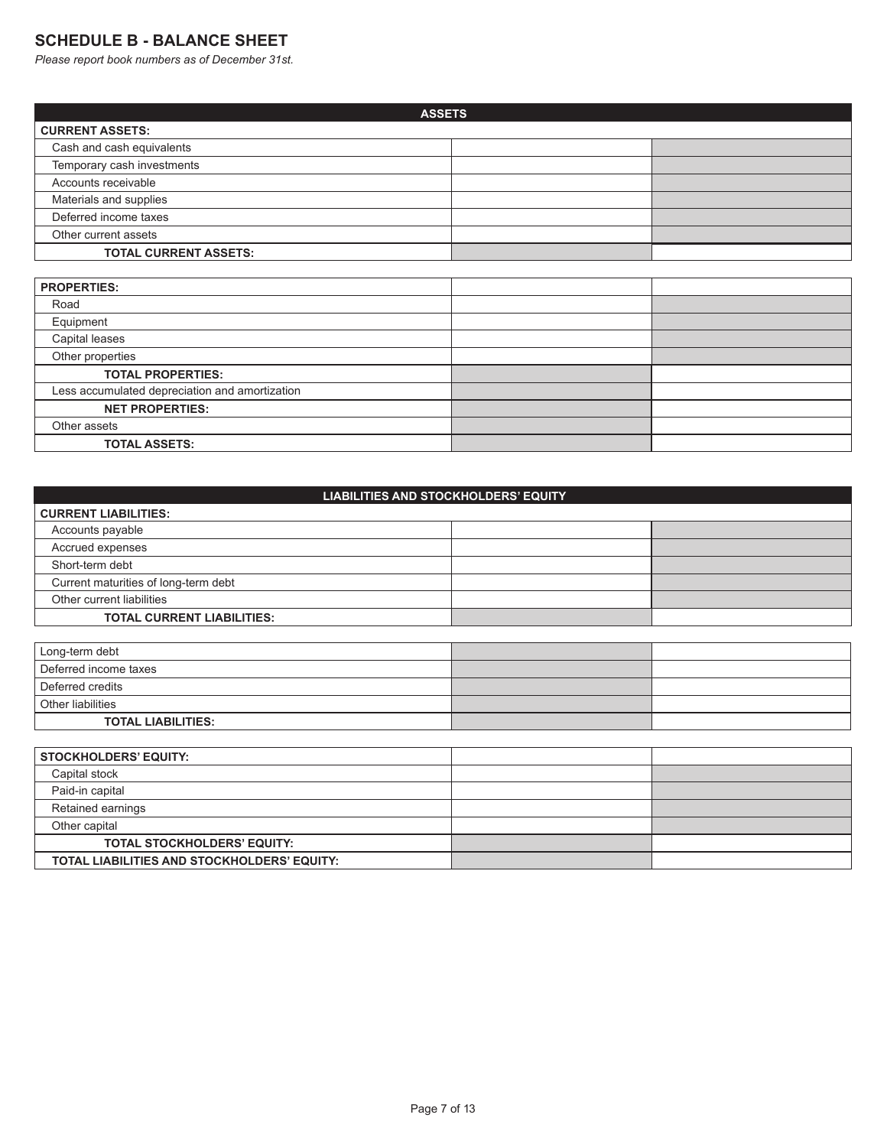# **SCHEDULE B - BALANCE SHEET**

*Please report book numbers as of December 31st.*

**TOTAL LIABILITIES AND STOCKHOLDERS' EQUITY:**

| <b>ASSETS</b>                |  |  |  |
|------------------------------|--|--|--|
| <b>CURRENT ASSETS:</b>       |  |  |  |
| Cash and cash equivalents    |  |  |  |
| Temporary cash investments   |  |  |  |
| Accounts receivable          |  |  |  |
| Materials and supplies       |  |  |  |
| Deferred income taxes        |  |  |  |
| Other current assets         |  |  |  |
| <b>TOTAL CURRENT ASSETS:</b> |  |  |  |

| <b>PROPERTIES:</b>                             |  |
|------------------------------------------------|--|
| Road                                           |  |
| Equipment                                      |  |
| Capital leases                                 |  |
| Other properties                               |  |
| <b>TOTAL PROPERTIES:</b>                       |  |
| Less accumulated depreciation and amortization |  |
| <b>NET PROPERTIES:</b>                         |  |
| Other assets                                   |  |
| <b>TOTAL ASSETS:</b>                           |  |

| <b>LIABILITIES AND STOCKHOLDERS' EQUITY</b> |  |  |  |  |  |
|---------------------------------------------|--|--|--|--|--|
| <b>CURRENT LIABILITIES:</b>                 |  |  |  |  |  |
| Accounts payable                            |  |  |  |  |  |
| Accrued expenses                            |  |  |  |  |  |
| Short-term debt                             |  |  |  |  |  |
| Current maturities of long-term debt        |  |  |  |  |  |
| Other current liabilities                   |  |  |  |  |  |
| <b>TOTAL CURRENT LIABILITIES:</b>           |  |  |  |  |  |
|                                             |  |  |  |  |  |
| Long-term debt                              |  |  |  |  |  |
| Deferred income taxes                       |  |  |  |  |  |
| Deferred credits                            |  |  |  |  |  |

| Other liabilities                  |  |
|------------------------------------|--|
| <b>TOTAL LIABILITIES:</b>          |  |
|                                    |  |
| <b>STOCKHOLDERS' EQUITY:</b>       |  |
| Capital stock                      |  |
| Paid-in capital                    |  |
| Retained earnings                  |  |
| Other capital                      |  |
| <b>TOTAL STOCKHOLDERS' EQUITY:</b> |  |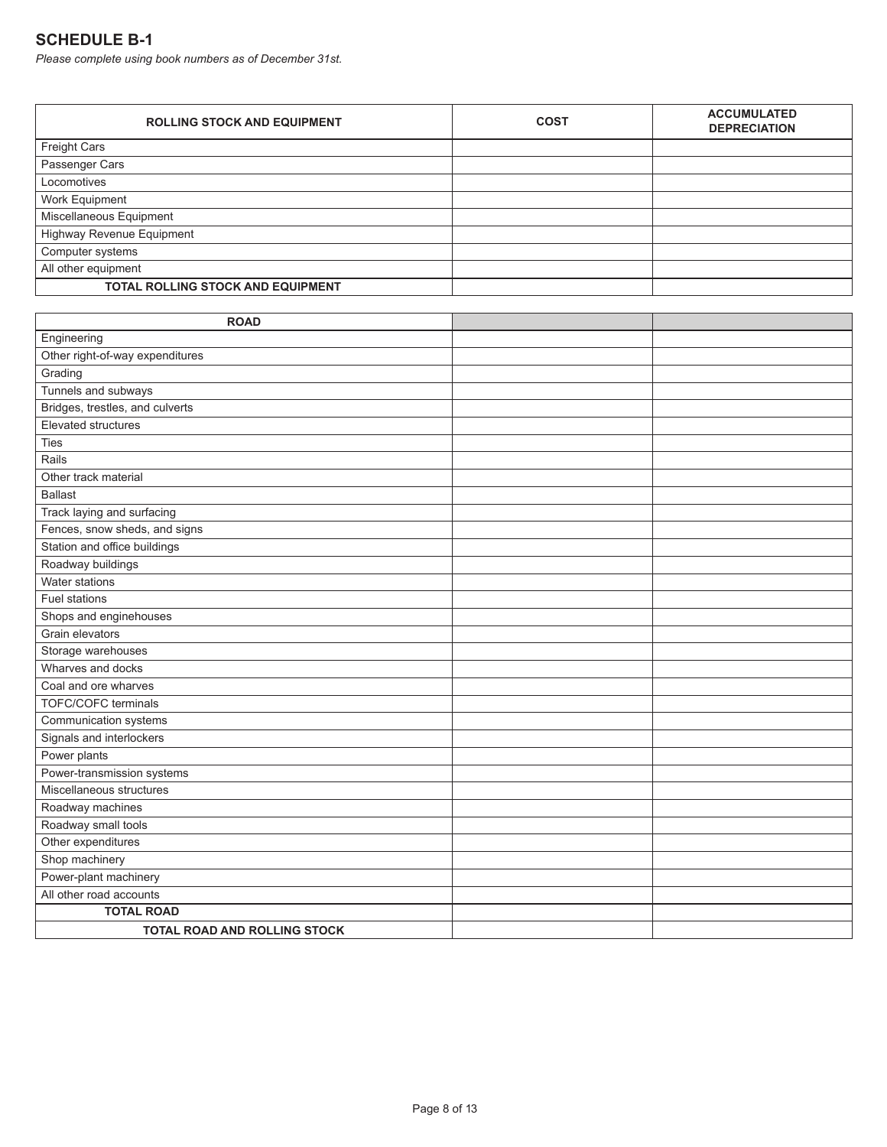# **SCHEDULE B-1**

*Please complete using book numbers as of December 31st.*

| <b>ROLLING STOCK AND EQUIPMENT</b>       | <b>COST</b> | <b>ACCUMULATED</b><br><b>DEPRECIATION</b> |
|------------------------------------------|-------------|-------------------------------------------|
| <b>Freight Cars</b>                      |             |                                           |
| Passenger Cars                           |             |                                           |
| Locomotives                              |             |                                           |
| Work Equipment                           |             |                                           |
| Miscellaneous Equipment                  |             |                                           |
| Highway Revenue Equipment                |             |                                           |
| Computer systems                         |             |                                           |
| All other equipment                      |             |                                           |
| <b>TOTAL ROLLING STOCK AND EQUIPMENT</b> |             |                                           |

| <b>ROAD</b>                         |  |
|-------------------------------------|--|
| Engineering                         |  |
| Other right-of-way expenditures     |  |
| Grading                             |  |
| Tunnels and subways                 |  |
| Bridges, trestles, and culverts     |  |
| Elevated structures                 |  |
| Ties                                |  |
| Rails                               |  |
| Other track material                |  |
| <b>Ballast</b>                      |  |
| Track laying and surfacing          |  |
| Fences, snow sheds, and signs       |  |
| Station and office buildings        |  |
| Roadway buildings                   |  |
| Water stations                      |  |
| <b>Fuel stations</b>                |  |
| Shops and enginehouses              |  |
| Grain elevators                     |  |
| Storage warehouses                  |  |
| Wharves and docks                   |  |
| Coal and ore wharves                |  |
| <b>TOFC/COFC terminals</b>          |  |
| Communication systems               |  |
| Signals and interlockers            |  |
| Power plants                        |  |
| Power-transmission systems          |  |
| Miscellaneous structures            |  |
| Roadway machines                    |  |
| Roadway small tools                 |  |
| Other expenditures                  |  |
| Shop machinery                      |  |
| Power-plant machinery               |  |
| All other road accounts             |  |
| <b>TOTAL ROAD</b>                   |  |
| <b>TOTAL ROAD AND ROLLING STOCK</b> |  |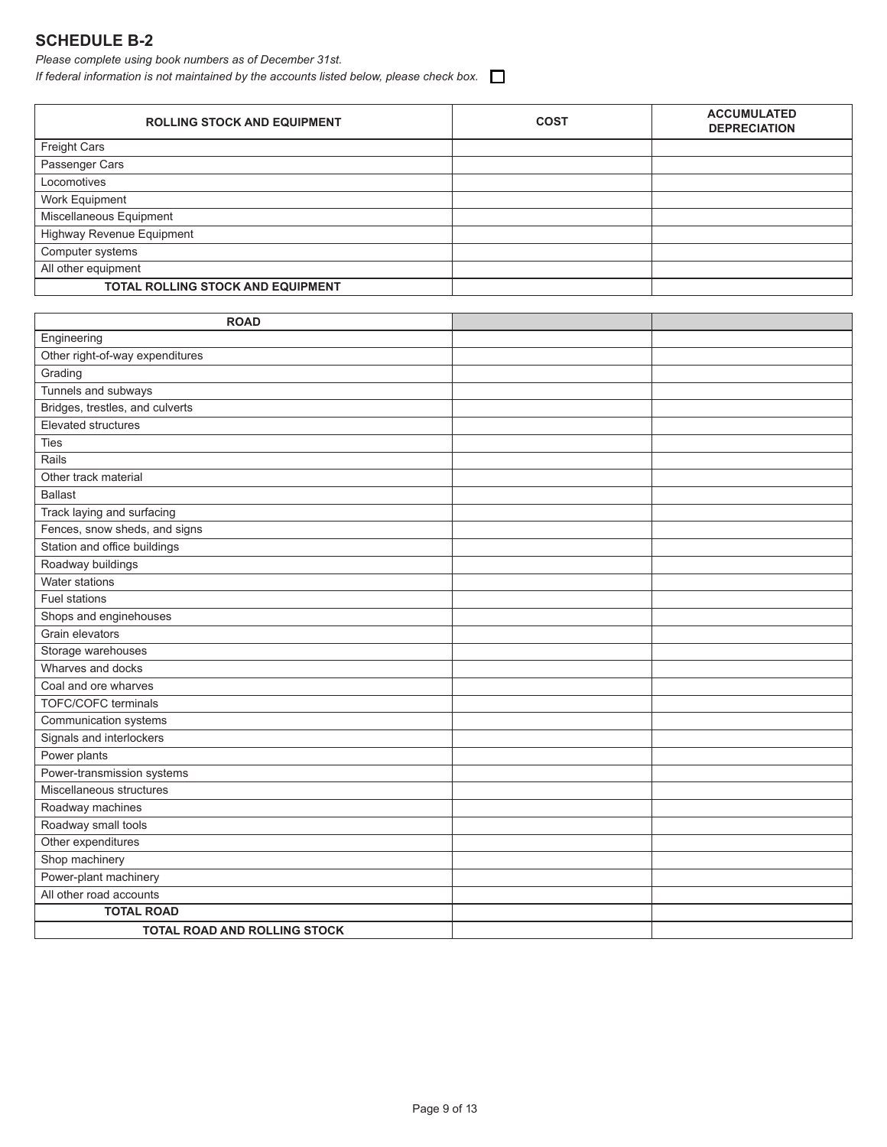# **SCHEDULE B-2**

*Please complete using book numbers as of December 31st.*

*If federal information is not maintained by the accounts listed below, please check box.*

| <b>ROLLING STOCK AND EQUIPMENT</b> | <b>COST</b> | <b>ACCUMULATED</b><br><b>DEPRECIATION</b> |
|------------------------------------|-------------|-------------------------------------------|
| Freight Cars                       |             |                                           |
| Passenger Cars                     |             |                                           |
| Locomotives                        |             |                                           |
| Work Equipment                     |             |                                           |
| Miscellaneous Equipment            |             |                                           |
| Highway Revenue Equipment          |             |                                           |
| Computer systems                   |             |                                           |
| All other equipment                |             |                                           |
| TOTAL ROLLING STOCK AND EQUIPMENT  |             |                                           |

| <b>ROAD</b>                         |  |
|-------------------------------------|--|
| Engineering                         |  |
| Other right-of-way expenditures     |  |
| Grading                             |  |
| Tunnels and subways                 |  |
| Bridges, trestles, and culverts     |  |
| Elevated structures                 |  |
| <b>Ties</b>                         |  |
| Rails                               |  |
| Other track material                |  |
| <b>Ballast</b>                      |  |
| Track laying and surfacing          |  |
| Fences, snow sheds, and signs       |  |
| Station and office buildings        |  |
| Roadway buildings                   |  |
| Water stations                      |  |
| <b>Fuel stations</b>                |  |
| Shops and enginehouses              |  |
| Grain elevators                     |  |
| Storage warehouses                  |  |
| Wharves and docks                   |  |
| Coal and ore wharves                |  |
| <b>TOFC/COFC terminals</b>          |  |
| Communication systems               |  |
| Signals and interlockers            |  |
| Power plants                        |  |
| Power-transmission systems          |  |
| Miscellaneous structures            |  |
| Roadway machines                    |  |
| Roadway small tools                 |  |
| Other expenditures                  |  |
| Shop machinery                      |  |
| Power-plant machinery               |  |
| All other road accounts             |  |
| <b>TOTAL ROAD</b>                   |  |
| <b>TOTAL ROAD AND ROLLING STOCK</b> |  |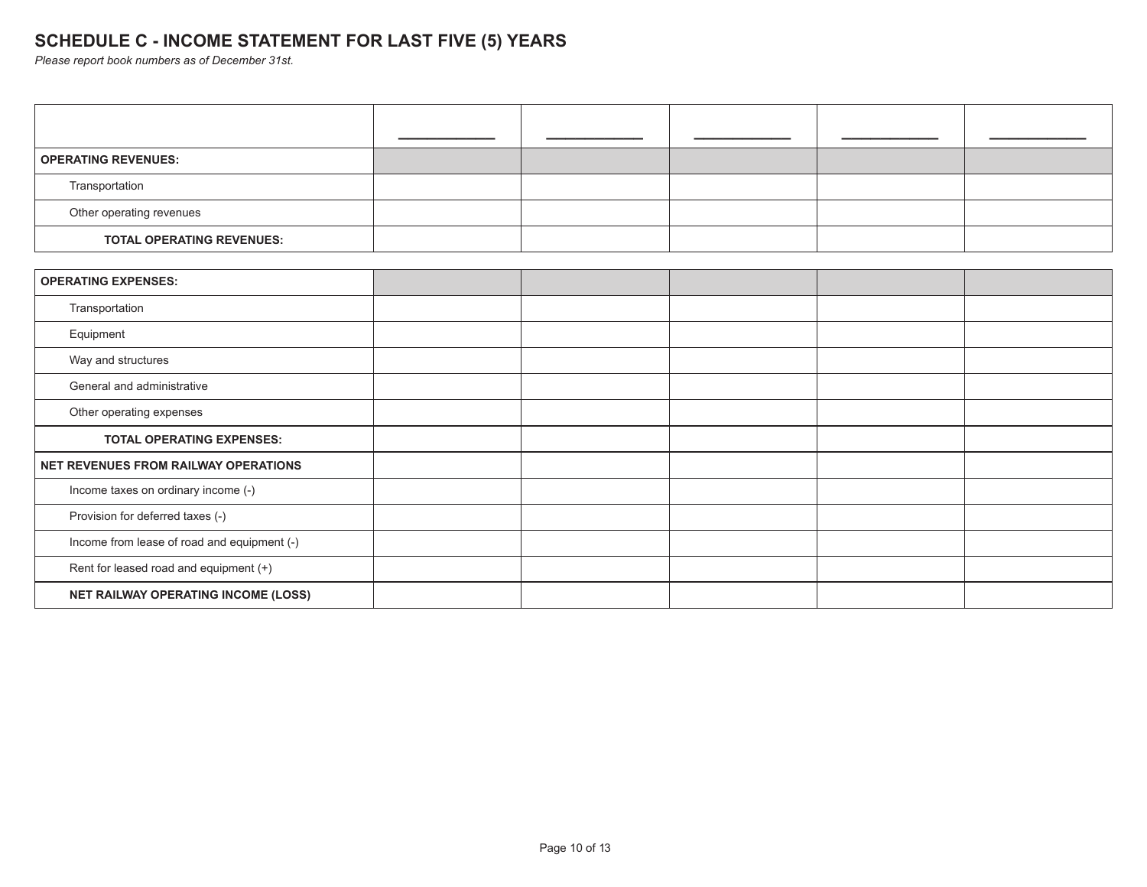# **SCHEDULE C - INCOME STATEMENT FOR LAST FIVE (5) YEARS**

*Please report book numbers as of December 31st.*

| <b>OPERATING REVENUES:</b>                  |  |  |  |
|---------------------------------------------|--|--|--|
| Transportation                              |  |  |  |
| Other operating revenues                    |  |  |  |
| <b>TOTAL OPERATING REVENUES:</b>            |  |  |  |
|                                             |  |  |  |
| <b>OPERATING EXPENSES:</b>                  |  |  |  |
| Transportation                              |  |  |  |
| Equipment                                   |  |  |  |
| Way and structures                          |  |  |  |
| General and administrative                  |  |  |  |
| Other operating expenses                    |  |  |  |
| <b>TOTAL OPERATING EXPENSES:</b>            |  |  |  |
| NET REVENUES FROM RAILWAY OPERATIONS        |  |  |  |
| Income taxes on ordinary income (-)         |  |  |  |
| Provision for deferred taxes (-)            |  |  |  |
| Income from lease of road and equipment (-) |  |  |  |
| Rent for leased road and equipment (+)      |  |  |  |
| NET RAILWAY OPERATING INCOME (LOSS)         |  |  |  |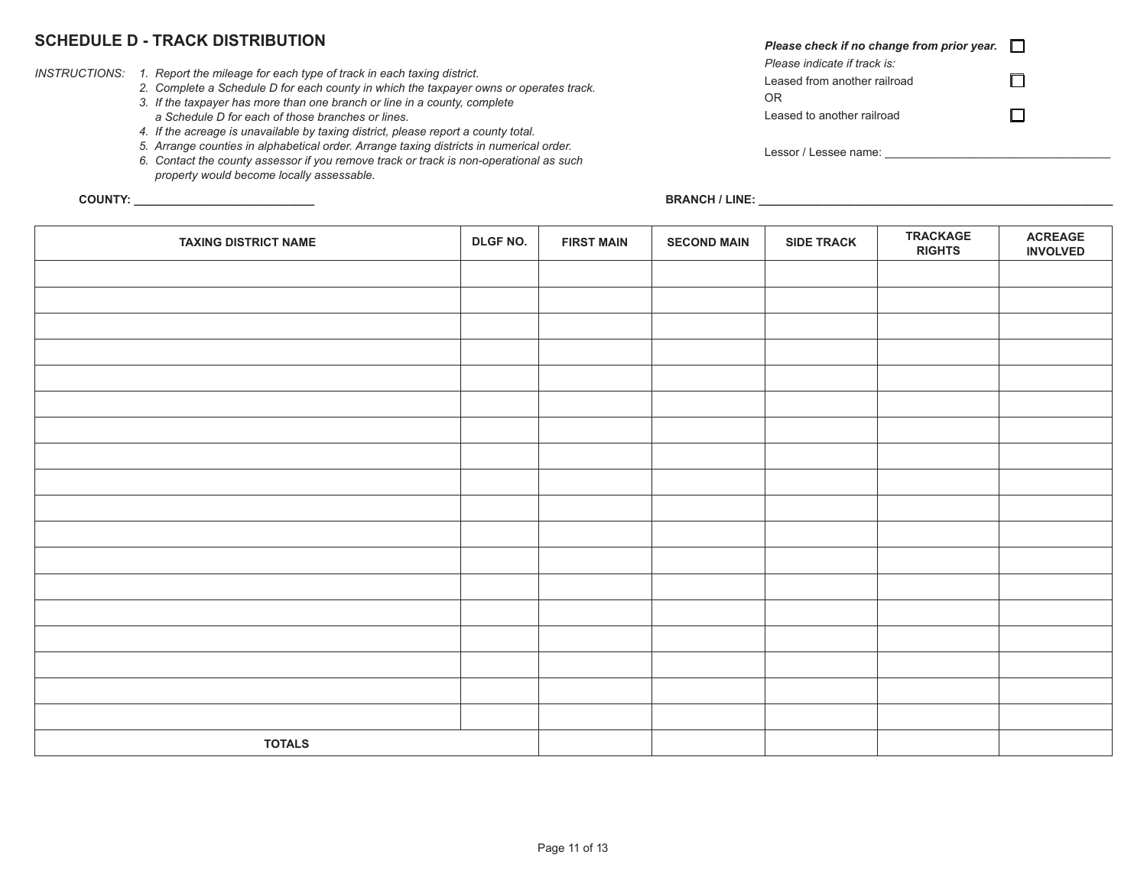### **SCHEDULE D - TRACK DISTRIBUTION**

- *INSTRUCTIONS: 1. Report the mileage for each type of track in each taxing district.*
	- *2. Complete a Schedule D for each county in which the taxpayer owns or operates track.*
	- *3. If the taxpayer has more than one branch or line in a county, complete*
	- *a Schedule D for each of those branches or lines.*
	- *4. If the acreage is unavailable by taxing district, please report a county total.*
	- *5. Arrange counties in alphabetical order. Arrange taxing districts in numerical order.*
	- *6. Contact the county assessor if you remove track or track is non-operational as such property would become locally assessable.*

| Please check if no change from prior year. |  |
|--------------------------------------------|--|
| Please indicate if track is:               |  |
| Leased from another railroad               |  |
| ΩR                                         |  |
| Leased to another railroad                 |  |
|                                            |  |
| Lessor / Lessee name:                      |  |

**COUNTY: \_\_\_\_\_\_\_\_\_\_\_\_\_\_\_\_\_\_\_\_\_\_\_\_\_\_\_\_ BRANCH / LINE: \_\_\_\_\_\_\_\_\_\_\_\_\_\_\_\_\_\_\_\_\_\_\_\_\_\_\_\_\_\_\_\_\_\_\_\_\_\_\_\_\_\_\_\_\_\_\_\_\_\_\_\_\_\_\_**

| <b>TAXING DISTRICT NAME</b> | DLGF NO. | <b>FIRST MAIN</b> | <b>SECOND MAIN</b> | <b>SIDE TRACK</b> | <b>TRACKAGE</b><br><b>RIGHTS</b> | <b>ACREAGE</b><br><b>INVOLVED</b> |
|-----------------------------|----------|-------------------|--------------------|-------------------|----------------------------------|-----------------------------------|
|                             |          |                   |                    |                   |                                  |                                   |
|                             |          |                   |                    |                   |                                  |                                   |
|                             |          |                   |                    |                   |                                  |                                   |
|                             |          |                   |                    |                   |                                  |                                   |
|                             |          |                   |                    |                   |                                  |                                   |
|                             |          |                   |                    |                   |                                  |                                   |
|                             |          |                   |                    |                   |                                  |                                   |
|                             |          |                   |                    |                   |                                  |                                   |
|                             |          |                   |                    |                   |                                  |                                   |
|                             |          |                   |                    |                   |                                  |                                   |
|                             |          |                   |                    |                   |                                  |                                   |
|                             |          |                   |                    |                   |                                  |                                   |
|                             |          |                   |                    |                   |                                  |                                   |
|                             |          |                   |                    |                   |                                  |                                   |
|                             |          |                   |                    |                   |                                  |                                   |
|                             |          |                   |                    |                   |                                  |                                   |
|                             |          |                   |                    |                   |                                  |                                   |
|                             |          |                   |                    |                   |                                  |                                   |
| <b>TOTALS</b>               |          |                   |                    |                   |                                  |                                   |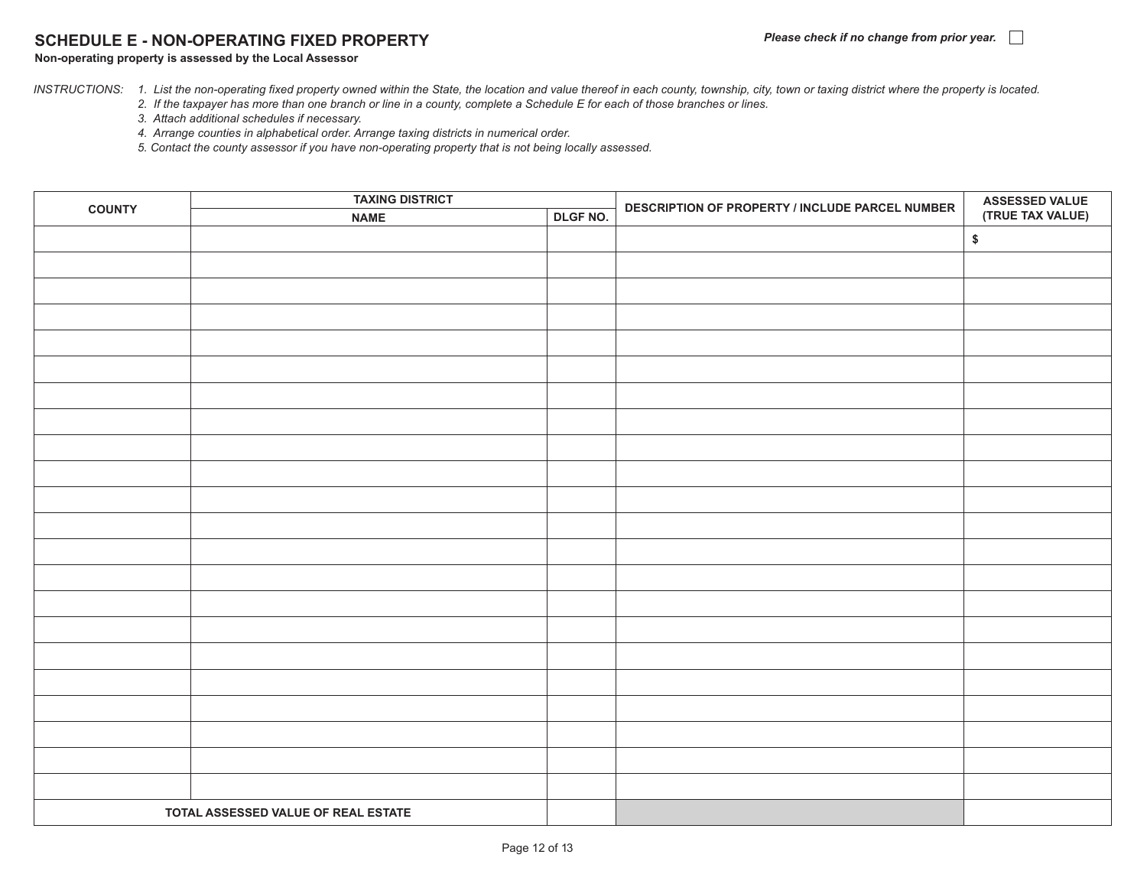### **SCHEDULE E - NON-OPERATING FIXED PROPERTY**

#### **Non-operating property is assessed by the Local Assessor**

*INSTRUCTIONS: 1. List the non-operating fixed property owned within the State, the location and value thereof in each county, township, city, town or taxing district where the property is located.*

 *2. If the taxpayer has more than one branch or line in a county, complete a Schedule E for each of those branches or lines.*

- *3. Attach additional schedules if necessary.*
- *4. Arrange counties in alphabetical order. Arrange taxing districts in numerical order.*

 *5. Contact the county assessor if you have non-operating property that is not being locally assessed.*

| <b>COUNTY</b> | <b>TAXING DISTRICT</b>              |          | DESCRIPTION OF PROPERTY / INCLUDE PARCEL NUMBER | <b>ASSESSED VALUE<br/>(TRUE TAX VALUE)</b> |  |
|---------------|-------------------------------------|----------|-------------------------------------------------|--------------------------------------------|--|
|               | <b>NAME</b>                         | DLGF NO. |                                                 |                                            |  |
|               |                                     |          |                                                 | $\pmb{\$}$                                 |  |
|               |                                     |          |                                                 |                                            |  |
|               |                                     |          |                                                 |                                            |  |
|               |                                     |          |                                                 |                                            |  |
|               |                                     |          |                                                 |                                            |  |
|               |                                     |          |                                                 |                                            |  |
|               |                                     |          |                                                 |                                            |  |
|               |                                     |          |                                                 |                                            |  |
|               |                                     |          |                                                 |                                            |  |
|               |                                     |          |                                                 |                                            |  |
|               |                                     |          |                                                 |                                            |  |
|               |                                     |          |                                                 |                                            |  |
|               |                                     |          |                                                 |                                            |  |
|               |                                     |          |                                                 |                                            |  |
|               |                                     |          |                                                 |                                            |  |
|               |                                     |          |                                                 |                                            |  |
|               |                                     |          |                                                 |                                            |  |
|               |                                     |          |                                                 |                                            |  |
|               |                                     |          |                                                 |                                            |  |
|               |                                     |          |                                                 |                                            |  |
|               |                                     |          |                                                 |                                            |  |
|               |                                     |          |                                                 |                                            |  |
|               |                                     |          |                                                 |                                            |  |
|               | TOTAL ASSESSED VALUE OF REAL ESTATE |          |                                                 |                                            |  |